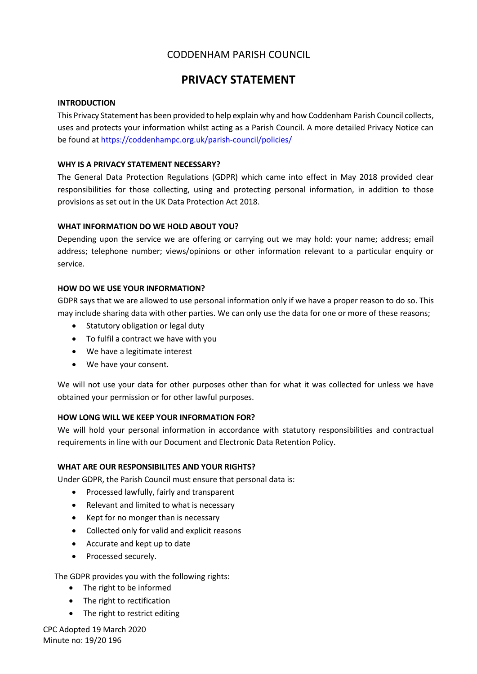# CODDENHAM PARISH COUNCIL

# **PRIVACY STATEMENT**

### **INTRODUCTION**

This Privacy Statement has been provided to help explain why and how Coddenham Parish Council collects, uses and protects your information whilst acting as a Parish Council. A more detailed Privacy Notice can be found at<https://coddenhampc.org.uk/parish-council/policies/>

### **WHY IS A PRIVACY STATEMENT NECESSARY?**

The General Data Protection Regulations (GDPR) which came into effect in May 2018 provided clear responsibilities for those collecting, using and protecting personal information, in addition to those provisions as set out in the UK Data Protection Act 2018.

### **WHAT INFORMATION DO WE HOLD ABOUT YOU?**

Depending upon the service we are offering or carrying out we may hold: your name; address; email address; telephone number; views/opinions or other information relevant to a particular enquiry or service.

## **HOW DO WE USE YOUR INFORMATION?**

GDPR says that we are allowed to use personal information only if we have a proper reason to do so. This may include sharing data with other parties. We can only use the data for one or more of these reasons;

- Statutory obligation or legal duty
- To fulfil a contract we have with you
- We have a legitimate interest
- We have your consent.

We will not use your data for other purposes other than for what it was collected for unless we have obtained your permission or for other lawful purposes.

#### **HOW LONG WILL WE KEEP YOUR INFORMATION FOR?**

We will hold your personal information in accordance with statutory responsibilities and contractual requirements in line with our Document and Electronic Data Retention Policy.

#### **WHAT ARE OUR RESPONSIBILITES AND YOUR RIGHTS?**

Under GDPR, the Parish Council must ensure that personal data is:

- Processed lawfully, fairly and transparent
- Relevant and limited to what is necessary
- Kept for no monger than is necessary
- Collected only for valid and explicit reasons
- Accurate and kept up to date
- Processed securely.

The GDPR provides you with the following rights:

- The right to be informed
- The right to rectification
- The right to restrict editing

CPC Adopted 19 March 2020 Minute no: 19/20 196